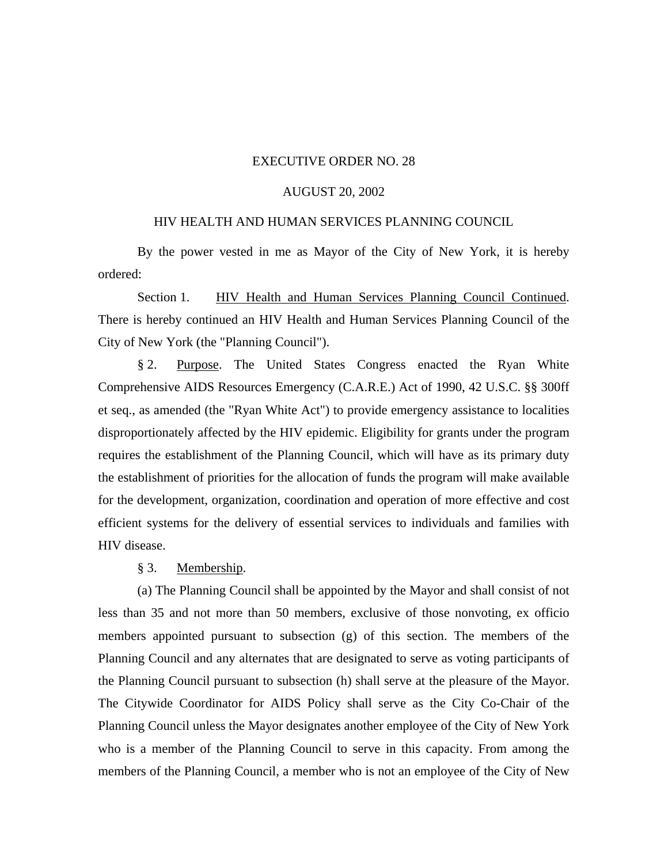## EXECUTIVE ORDER NO. 28

## AUGUST 20, 2002

## HIV HEALTH AND HUMAN SERVICES PLANNING COUNCIL

By the power vested in me as Mayor of the City of New York, it is hereby ordered:

Section 1. HIV Health and Human Services Planning Council Continued. There is hereby continued an HIV Health and Human Services Planning Council of the City of New York (the "Planning Council").

§ 2. Purpose. The United States Congress enacted the Ryan White Comprehensive AIDS Resources Emergency (C.A.R.E.) Act of 1990, 42 U.S.C. §§ 300ff et seq., as amended (the "Ryan White Act") to provide emergency assistance to localities disproportionately affected by the HIV epidemic. Eligibility for grants under the program requires the establishment of the Planning Council, which will have as its primary duty the establishment of priorities for the allocation of funds the program will make available for the development, organization, coordination and operation of more effective and cost efficient systems for the delivery of essential services to individuals and families with HIV disease.

§ 3. Membership.

(a) The Planning Council shall be appointed by the Mayor and shall consist of not less than 35 and not more than 50 members, exclusive of those nonvoting, ex officio members appointed pursuant to subsection (g) of this section. The members of the Planning Council and any alternates that are designated to serve as voting participants of the Planning Council pursuant to subsection (h) shall serve at the pleasure of the Mayor. The Citywide Coordinator for AIDS Policy shall serve as the City Co-Chair of the Planning Council unless the Mayor designates another employee of the City of New York who is a member of the Planning Council to serve in this capacity. From among the members of the Planning Council, a member who is not an employee of the City of New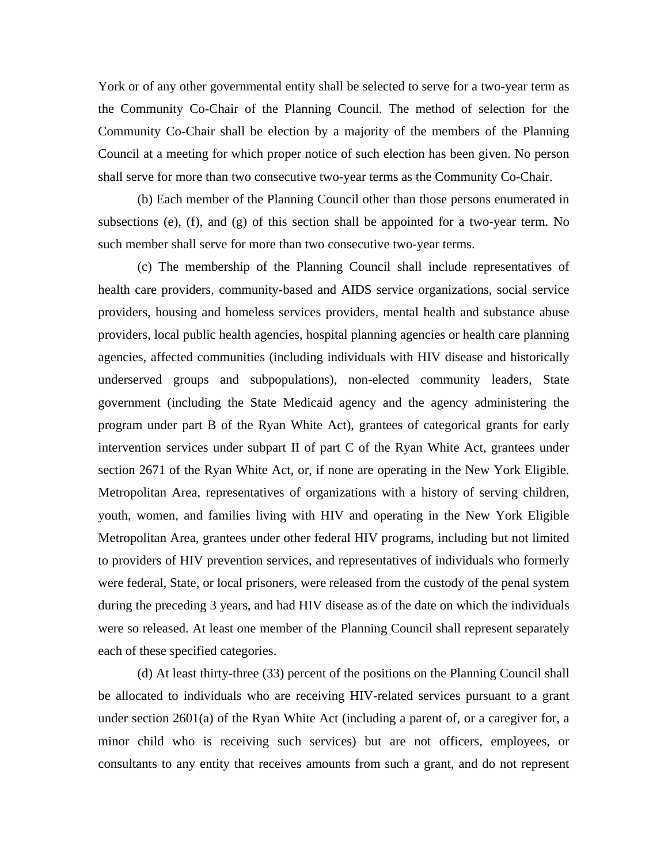York or of any other governmental entity shall be selected to serve for a two-year term as the Community Co-Chair of the Planning Council. The method of selection for the Community Co-Chair shall be election by a majority of the members of the Planning Council at a meeting for which proper notice of such election has been given. No person shall serve for more than two consecutive two-year terms as the Community Co-Chair.

(b) Each member of the Planning Council other than those persons enumerated in subsections (e), (f), and (g) of this section shall be appointed for a two-year term. No such member shall serve for more than two consecutive two-year terms.

(c) The membership of the Planning Council shall include representatives of health care providers, community-based and AIDS service organizations, social service providers, housing and homeless services providers, mental health and substance abuse providers, local public health agencies, hospital planning agencies or health care planning agencies, affected communities (including individuals with HIV disease and historically underserved groups and subpopulations), non-elected community leaders, State government (including the State Medicaid agency and the agency administering the program under part B of the Ryan White Act), grantees of categorical grants for early intervention services under subpart II of part C of the Ryan White Act, grantees under section 2671 of the Ryan White Act, or, if none are operating in the New York Eligible. Metropolitan Area, representatives of organizations with a history of serving children, youth, women, and families living with HIV and operating in the New York Eligible Metropolitan Area, grantees under other federal HIV programs, including but not limited to providers of HIV prevention services, and representatives of individuals who formerly were federal, State, or local prisoners, were released from the custody of the penal system during the preceding 3 years, and had HIV disease as of the date on which the individuals were so released. At least one member of the Planning Council shall represent separately each of these specified categories.

(d) At least thirty-three (33) percent of the positions on the Planning Council shall be allocated to individuals who are receiving HIV-related services pursuant to a grant under section  $2601(a)$  of the Ryan White Act (including a parent of, or a caregiver for, a minor child who is receiving such services) but are not officers, employees, or consultants to any entity that receives amounts from such a grant, and do not represent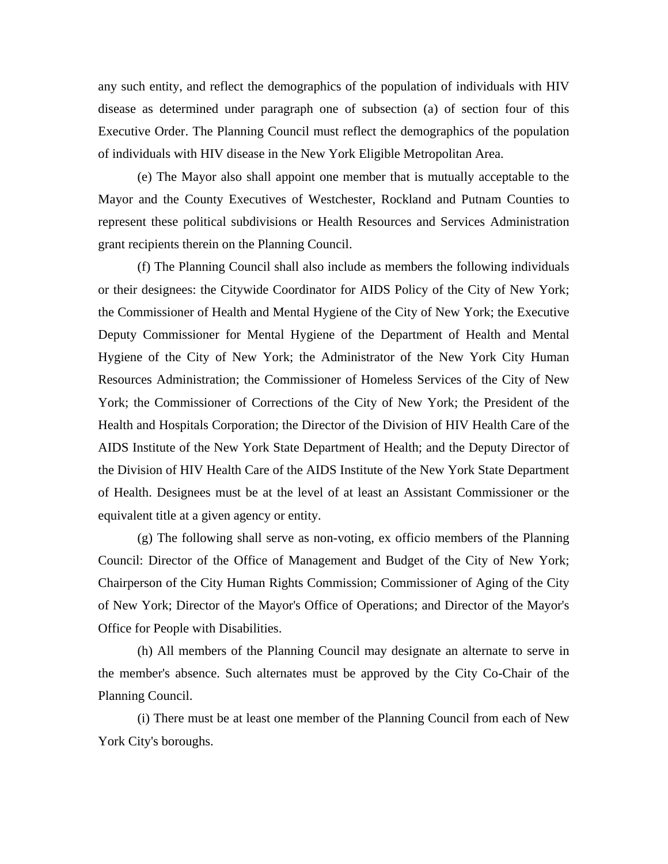any such entity, and reflect the demographics of the population of individuals with HIV disease as determined under paragraph one of subsection (a) of section four of this Executive Order. The Planning Council must reflect the demographics of the population of individuals with HIV disease in the New York Eligible Metropolitan Area.

(e) The Mayor also shall appoint one member that is mutually acceptable to the Mayor and the County Executives of Westchester, Rockland and Putnam Counties to represent these political subdivisions or Health Resources and Services Administration grant recipients therein on the Planning Council.

(f) The Planning Council shall also include as members the following individuals or their designees: the Citywide Coordinator for AIDS Policy of the City of New York; the Commissioner of Health and Mental Hygiene of the City of New York; the Executive Deputy Commissioner for Mental Hygiene of the Department of Health and Mental Hygiene of the City of New York; the Administrator of the New York City Human Resources Administration; the Commissioner of Homeless Services of the City of New York; the Commissioner of Corrections of the City of New York; the President of the Health and Hospitals Corporation; the Director of the Division of HIV Health Care of the AIDS Institute of the New York State Department of Health; and the Deputy Director of the Division of HIV Health Care of the AIDS Institute of the New York State Department of Health. Designees must be at the level of at least an Assistant Commissioner or the equivalent title at a given agency or entity.

(g) The following shall serve as non-voting, ex officio members of the Planning Council: Director of the Office of Management and Budget of the City of New York; Chairperson of the City Human Rights Commission; Commissioner of Aging of the City of New York; Director of the Mayor's Office of Operations; and Director of the Mayor's Office for People with Disabilities.

(h) All members of the Planning Council may designate an alternate to serve in the member's absence. Such alternates must be approved by the City Co-Chair of the Planning Council.

(i) There must be at least one member of the Planning Council from each of New York City's boroughs.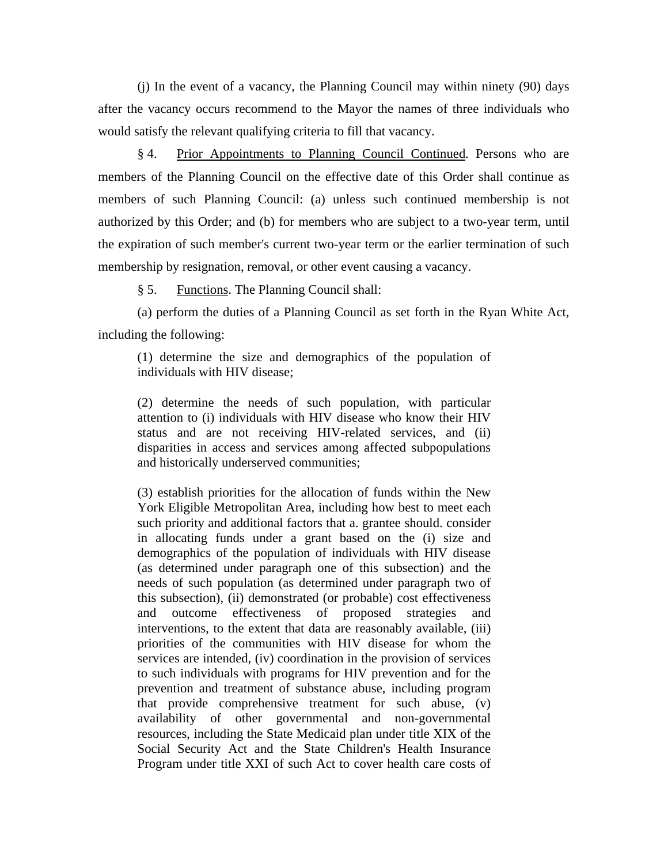(j) In the event of a vacancy, the Planning Council may within ninety (90) days after the vacancy occurs recommend to the Mayor the names of three individuals who would satisfy the relevant qualifying criteria to fill that vacancy.

§ 4. Prior Appointments to Planning Council Continued. Persons who are members of the Planning Council on the effective date of this Order shall continue as members of such Planning Council: (a) unless such continued membership is not authorized by this Order; and (b) for members who are subject to a two-year term, until the expiration of such member's current two-year term or the earlier termination of such membership by resignation, removal, or other event causing a vacancy.

§ 5. Functions. The Planning Council shall:

(a) perform the duties of a Planning Council as set forth in the Ryan White Act, including the following:

(1) determine the size and demographics of the population of individuals with HIV disease;

(2) determine the needs of such population, with particular attention to (i) individuals with HIV disease who know their HIV status and are not receiving HIV-related services, and (ii) disparities in access and services among affected subpopulations and historically underserved communities;

(3) establish priorities for the allocation of funds within the New York Eligible Metropolitan Area, including how best to meet each such priority and additional factors that a. grantee should. consider in allocating funds under a grant based on the (i) size and demographics of the population of individuals with HIV disease (as determined under paragraph one of this subsection) and the needs of such population (as determined under paragraph two of this subsection), (ii) demonstrated (or probable) cost effectiveness and outcome effectiveness of proposed strategies and interventions, to the extent that data are reasonably available, (iii) priorities of the communities with HIV disease for whom the services are intended, (iv) coordination in the provision of services to such individuals with programs for HIV prevention and for the prevention and treatment of substance abuse, including program that provide comprehensive treatment for such abuse, (v) availability of other governmental and non-governmental resources, including the State Medicaid plan under title XIX of the Social Security Act and the State Children's Health Insurance Program under title XXI of such Act to cover health care costs of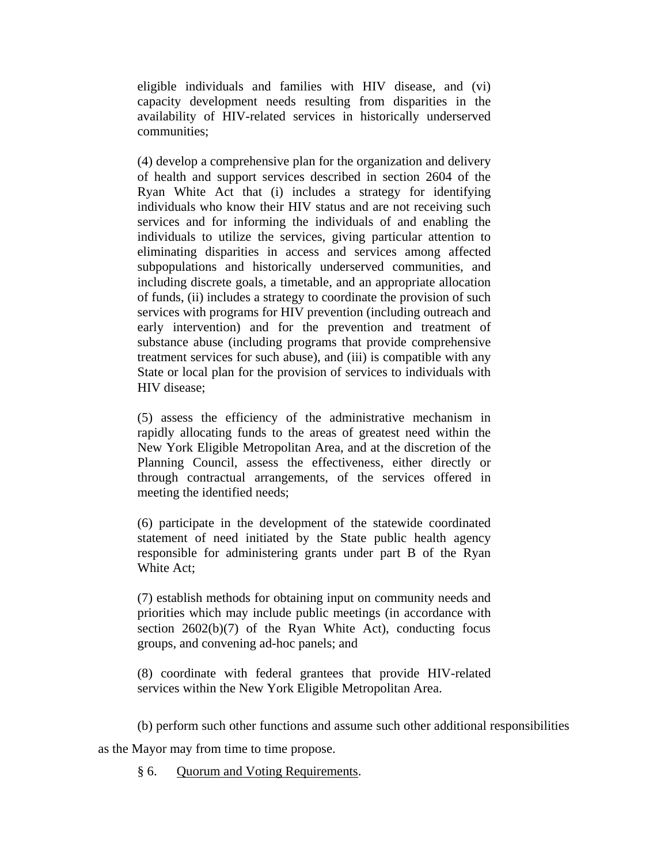eligible individuals and families with HIV disease, and (vi) capacity development needs resulting from disparities in the availability of HIV-related services in historically underserved communities;

(4) develop a comprehensive plan for the organization and delivery of health and support services described in section 2604 of the Ryan White Act that (i) includes a strategy for identifying individuals who know their HIV status and are not receiving such services and for informing the individuals of and enabling the individuals to utilize the services, giving particular attention to eliminating disparities in access and services among affected subpopulations and historically underserved communities, and including discrete goals, a timetable, and an appropriate allocation of funds, (ii) includes a strategy to coordinate the provision of such services with programs for HIV prevention (including outreach and early intervention) and for the prevention and treatment of substance abuse (including programs that provide comprehensive treatment services for such abuse), and (iii) is compatible with any State or local plan for the provision of services to individuals with HIV disease;

(5) assess the efficiency of the administrative mechanism in rapidly allocating funds to the areas of greatest need within the New York Eligible Metropolitan Area, and at the discretion of the Planning Council, assess the effectiveness, either directly or through contractual arrangements, of the services offered in meeting the identified needs;

(6) participate in the development of the statewide coordinated statement of need initiated by the State public health agency responsible for administering grants under part B of the Ryan White Act;

(7) establish methods for obtaining input on community needs and priorities which may include public meetings (in accordance with section  $2602(b)(7)$  of the Ryan White Act), conducting focus groups, and convening ad-hoc panels; and

(8) coordinate with federal grantees that provide HIV-related services within the New York Eligible Metropolitan Area.

(b) perform such other functions and assume such other additional responsibilities as the Mayor may from time to time propose.

§ 6. Quorum and Voting Requirements.